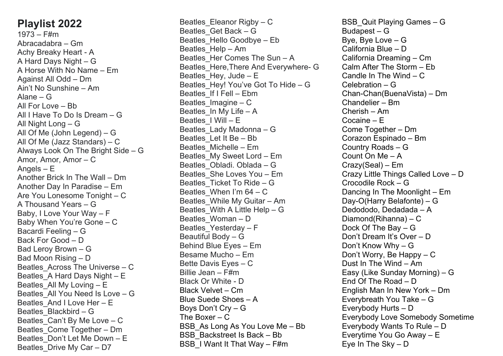## **Playlist 2022**

 $1973 -$ F#m Abracadabra – Gm Achy Breaky Heart - A A Hard Days Night – G A Horse With No Name – Em Against All Odd – Dm Ain't No Sunshine – Am Alane – G All For Love – Bb All I Have To Do Is Dream – G All Night Long – G All Of Me (John Legend) – G All Of Me (Jazz Standars) – C Always Look On The Bright Side – G Amor, Amor, Amor – C Angels – E Another Brick In The Wall – Dm Another Day In Paradise – Em Are You Lonesome Tonight – C A Thousand Years – G Baby, I Love Your Way – F Baby When You're Gone – C Bacardi Feeling – G Back For Good – D Bad Leroy Brown – G Bad Moon Rising – D Beatles\_Across The Universe – C Beatles\_A Hard Days Night – E Beatles\_All My Loving – E Beatles\_All You Need Is Love – G Beatles\_And I Love Her – E Beatles\_Blackbird – G Beatles\_Can't By Me Love – C Beatles\_Come Together – Dm Beatles\_Don't Let Me Down – E Beatles Drive My Car – D7

Beatles Eleanor Rigby – C Beatles\_Get Back – G Beatles\_Hello Goodbye – Eb Beatles\_Help – Am Beatles Her Comes The Sun – A Beatles\_Here,There And Everywhere- G Beatles Hey, Jude –  $E$ Beatles Hey! You've Got To Hide – G Beatles\_If I Fell – Ebm Beatles  $Imagine - C$ Beatles\_In My Life – A Beatles I Will – E Beatles\_Lady Madonna – G Beatles\_Let It Be – Bb Beatles\_Michelle – Em Beatles\_My Sweet Lord – Em Beatles\_Obladi. Oblada – G Beatles\_She Loves You – Em Beatles\_Ticket To Ride – G Beatles When I'm  $64 - C$ Beatles\_While My Guitar – Am Beatles\_With A Little Help – G Beatles\_Woman – D Beatles\_Yesterday – F Beautiful Body – G Behind Blue Eyes – Em Besame Mucho – Em Bette Davis Eyes – C Billie Jean – F#m Black Or White - D Black Velvet – Cm Blue Suede Shoes – A Boys Don't Cry – G The Boxer – C BSB As Long As You Love Me – Bb BSB\_Backstreet Is Back – Bb BSB\_I Want It That Way – F#m

BSB\_Quit Playing Games – G Budapest – G Bye, Bye Love – G California Blue – D California Dreaming – Cm Calm After The Storm – Eb Candle In The Wind – C Celebration – G Chan-Chan(BuenaVista) – Dm Chandelier – Bm Cherish – Am Cocaine – E Come Together – Dm Corazon Espinado – Bm Country Roads – G Count On Me – A Crazy(Seal) – Em Crazy Little Things Called Love – D Crocodile Rock – G Dancing In The Moonlight – Em Day-O(Harry Belafonte) – G Dedododo, Dedadada – A Diamond(Rihanna) – C Dock Of The Bay – G Don't Dream It's Over – D Don't Know Why – G Don't Worry, Be Happy – C Dust In The Wind – Am Easy (Like Sunday Morning) – G End Of The Road – D English Man In New York – Dm Everybreath You Take – G Everybody Hurts – D Everybody Love Somebody Sometime Everybody Wants To Rule – D Everytime You Go Away – E Eye In The Sky – D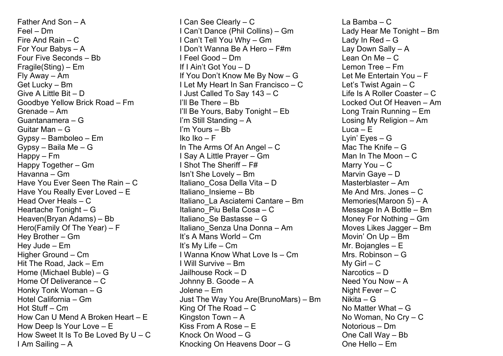Father And Son – A Feel – Dm Fire And Rain – C For Your Babys – A Four Five Seconds – Bb Fragile(Sting) – Em Fly Away – Am Get Lucky – Bm Give A Little Bit – D Goodbye Yellow Brick Road – Fm Grenade – Am Guantanamera – G Guitar Man – G Gypsy – Bamboleo – Em Gypsy – Baila Me – G Happy – Fm Happy Together – Gm Havanna – Gm Have You Ever Seen The Rain – C Have You Really Ever Loved – E Head Over Heals – C Heartache Tonight – G Heaven(Bryan Adams) – Bb Hero(Family Of The Year) – F Hey Brother – Gm Hey Jude – Em Higher Ground – Cm Hit The Road, Jack – Em Home (Michael Buble) – G Home Of Deliverance – C Honky Tonk Woman – G Hotel California – Gm Hot Stuff – Cm How Can U Mend A Broken Heart – E How Deep Is Your Love – E How Sweet It Is To Be Loved By U – C I Am Sailing – A

I Can See Clearly – C I Can't Dance (Phil Collins) – Gm I Can't Tell You Why – Gm I Don't Wanna Be A Hero – F#m I Feel Good – Dm If I Ain't Got You – D If You Don't Know Me By Now – G I Let My Heart In San Francisco – C I Just Called To Say 143 – C I'll Be There – Bb I'll Be Yours, Baby Tonight – Eb I'm Still Standing – A I'm Yours – Bb Iko Iko – F In The Arms Of An Angel – C I Say A Little Prayer – Gm I Shot The Sheriff – F# Isn't She Lovely – Bm Italiano Cosa Della Vita – D Italiano\_Insieme – Bb Italiano\_La Asciatemi Cantare – Bm Italiano\_Piu Bella Cosa – C Italiano\_Se Bastasse – G Italiano\_Senza Una Donna – Am It's A Mans World – Cm It's My Life – Cm I Wanna Know What Love Is – Cm I Will Survive – Bm Jailhouse Rock – D Johnny B. Goode – A Jolene – Em Just The Way You Are(BrunoMars) – Bm King Of The Road – C Kingston Town – A Kiss From A Rose – E Knock On Wood – G Knocking On Heavens Door – G

La Bamba – C Lady Hear Me Tonight – Bm Lady In Red – G Lay Down Sally – A Lean On Me – C Lemon Tree – Fm Let Me Entertain You – F Let's Twist Again – C Life Is A Roller Coaster – C Locked Out Of Heaven – Am Long Train Running – Em Losing My Religion – Am Luca – E Lyin' Eyes – G Mac The Knife – G Man In The Moon – C Marry You – C Marvin Gaye – D Masterblaster – Am Me And Mrs. Jones – C Memories(Maroon 5) – A Message In A Bottle – Bm Money For Nothing – Gm Moves Likes Jagger – Bm Movin' On Up – Bm Mr. Bojangles – E Mrs. Robinson – G My  $Girl - C$ Narcotics – D Need You Now – A Night Fever – C Nikita – G No Matter What – G No Woman, No Cry – C Notorious – Dm One Call Way – Bb One Hello – Em